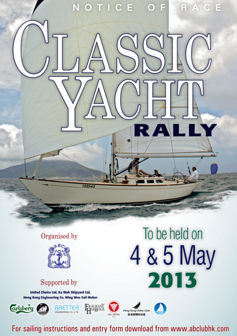

NOTICE OF RACE

# Supported by

**Grisberg** 

United Choice Ltd, Ka Wah Shipyard Ltd, **Hong Kong Engineering Co, Wing Woo Sail Maker** 

**BRETTER** 



 $H<sub>long</sub> **Phase Case Example**$ 



FRAGRANT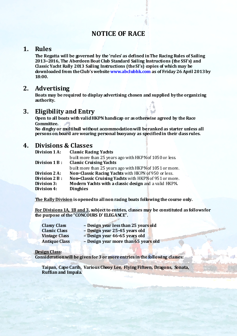# NOTICE OF RACE

### 1. Rules

The Regatta will be governed by the 'rules' as defined in The Racing Rules of Sailing 2013‐2016, The Aberdeen Boat Club Standard Sailing Instructions (the SSI's) and Classic Yacht Rally 2013 Sailing Instructions (the SI's) copies of which may be downloaded from the Club's website www.abclubhk.com as of Friday 26 April 2013 by 18:00.

# 2. Advertising

Boats may be required to display advertising chosen and supplied by the organizing authority.

# 3. Eligibility and Entry

Open to all boats with valid HKPN handicap or as otherwise agreed by the Race Committee.

No dinghy or multihull without accommodation will be ranked as starter unless all persons on board are wearing personal buoyancy as specified in their dass rules.

# 4. Divisions & Classes

| <b>Classic Rading Yadits</b>                            |
|---------------------------------------------------------|
| built more than 25 years ago with HKPN of 1050 or less. |
| <b>Classic Cruising Yachts</b>                          |
| built more than 25 years ago with HKPN of 1051 or more. |
| Non-Classic Racing Yachts with HKPN of 950 or less.     |
| Non-Classic Cruising Yachts with HKPN of 951 or more.   |
| Modern Yachts with a classic design and a valid HKPN.   |
| <b>Dinghies</b>                                         |
|                                                         |

The Rally Division is opened to all non racing boats following the course only.

For Divisions 1A, 1B and 3, subject to entries, classes may be constituted as follows for the purpose of the "CONCOURS D' ELEGANCE".

| <b>Classy Class</b>  | - Design year less than 25 years old |
|----------------------|--------------------------------------|
| <b>Classic Class</b> | - Design year 25-45 years old        |
| <b>Vintage Class</b> | - Design year 46-65 years old        |
| <b>Antique Class</b> | - Design year more than 65 years old |

#### Design Class:

Consideration will be given for 3 or more entries in the following classes:

Taipan, Cape Carib, Various Cheoy Lee, Flying Fifteen, Dragons, Sonata, Ruffian and Impala.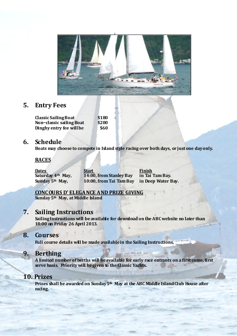

# 5. Entry Fees

Classic Sailing Boat \$180<br>Non-classic sailing Boat \$200 Non-classic sailing Boat Dinghy entry fee will be \$60

# 6. Schedule

Boats may choose to compete in Island style racing over both days, or just one day only.

#### RACES

<u>Dates Start Finish</u> Saturday 4<sup>th</sup> May, 14:00, from Stanley Bay in Tai Tam Bay. Sunday  $5<sup>th</sup>$  May, 10:00, from Tai Tam Bay in Deep Water Bay.

#### CONCOURS D' ELEGANCE AND PRIZE GIVING

Sunday 5<sup>th</sup> May, at Middle Island

### 7. Sailing Instructions

Sailing Instructions will be available for download on the ABC website no later than 18:00 on Friday 26 April 2013.

# 8. Courses

Full course details will be made available in the Sailing Instructions.

# 9. Berthing

A limited number of berths will be available for early race entrants on a first come, first serve basis. Priority will be given to the Classic Yachts.

# 10. Prizes

Prizes shall be awarded on Sunday 5<sup>th</sup> May at the ABC Middle Island Club House after racing.